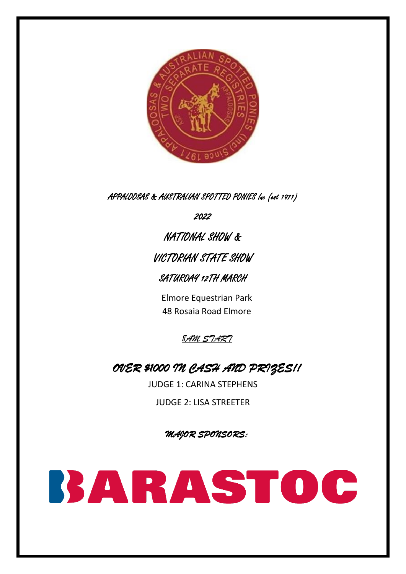

APPALOOSAS & AUSTRALIAN SPOTTED PONIES Inc (est 1971)

2022

NATIONAL SHOW & VICTORIAN STATE SHOW

SATURDAY 12TH MARCH

Elmore Equestrian Park 48 Rosaia Road Elmore



# *OVER \$1000 IN CASH AND PRIZES!!*

JUDGE 1: CARINA STEPHENS

JUDGE 2: LISA STREETER

*MAJOR SPONSORS:* 

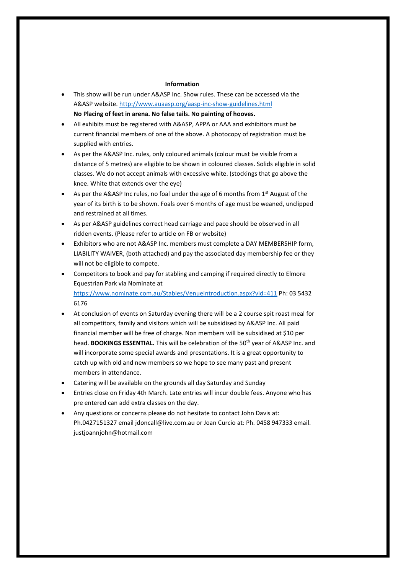#### **Information**

- This show will be run under A&ASP Inc. Show rules. These can be accessed via the A&ASP website.<http://www.auaasp.org/aasp-inc-show-guidelines.html> **No Placing of feet in arena. No false tails. No painting of hooves.**
- All exhibits must be registered with A&ASP, APPA or AAA and exhibitors must be current financial members of one of the above. A photocopy of registration must be supplied with entries.
- As per the A&ASP Inc. rules, only coloured animals (colour must be visible from a distance of 5 metres) are eligible to be shown in coloured classes. Solids eligible in solid classes. We do not accept animals with excessive white. (stockings that go above the knee. White that extends over the eye)
- As per the A&ASP Inc rules, no foal under the age of 6 months from  $1<sup>st</sup>$  August of the year of its birth is to be shown. Foals over 6 months of age must be weaned, unclipped and restrained at all times.
- As per A&ASP guidelines correct head carriage and pace should be observed in all ridden events. (Please refer to article on FB or website)
- Exhibitors who are not A&ASP Inc. members must complete a DAY MEMBERSHIP form, LIABILITY WAIVER, (both attached) and pay the associated day membership fee or they will not be eligible to compete.
- Competitors to book and pay for stabling and camping if required directly to Elmore Equestrian Park via Nominate at <https://www.nominate.com.au/Stables/VenueIntroduction.aspx?vid=411> Ph: 03 5432 6176
- At conclusion of events on Saturday evening there will be a 2 course spit roast meal for all competitors, family and visitors which will be subsidised by A&ASP Inc. All paid financial member will be free of charge. Non members will be subsidised at \$10 per head. **BOOKINGS ESSENTIAL.** This will be celebration of the 50<sup>th</sup> year of A&ASP Inc. and will incorporate some special awards and presentations. It is a great opportunity to catch up with old and new members so we hope to see many past and present members in attendance.
- Catering will be available on the grounds all day Saturday and Sunday
- Entries close on Friday 4th March. Late entries will incur double fees. Anyone who has pre entered can add extra classes on the day.
- Any questions or concerns please do not hesitate to contact John Davis at: Ph.0427151327 email jdoncall@live.com.au or Joan Curcio at: Ph. 0458 947333 email. justjoannjohn@hotmail.com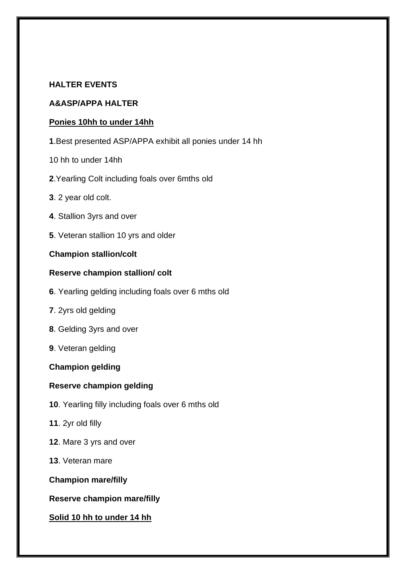## **HALTER EVENTS**

#### **A&ASP/APPA HALTER**

#### **Ponies 10hh to under 14hh**

- **1**.Best presented ASP/APPA exhibit all ponies under 14 hh
- 10 hh to under 14hh
- **2**.Yearling Colt including foals over 6mths old
- **3**. 2 year old colt.
- **4**. Stallion 3yrs and over
- **5**. Veteran stallion 10 yrs and older

#### **Champion stallion/colt**

#### **Reserve champion stallion/ colt**

- **6**. Yearling gelding including foals over 6 mths old
- **7**. 2yrs old gelding
- **8**. Gelding 3yrs and over
- **9**. Veteran gelding

#### **Champion gelding**

#### **Reserve champion gelding**

- **10**. Yearling filly including foals over 6 mths old
- **11**. 2yr old filly
- **12**. Mare 3 yrs and over
- **13**. Veteran mare

**Champion mare/filly**

**Reserve champion mare/filly**

#### **Solid 10 hh to under 14 hh**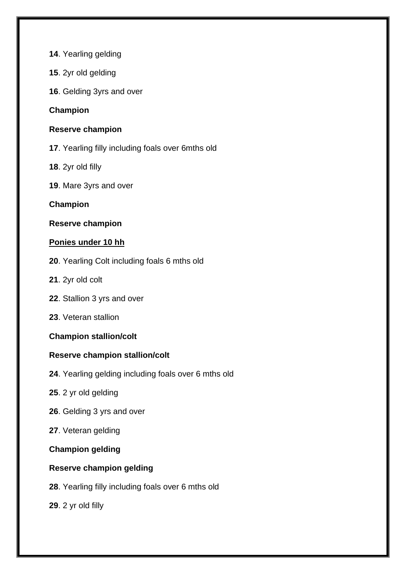- . Yearling gelding
- . 2yr old gelding
- . Gelding 3yrs and over

## **Champion**

#### **Reserve champion**

- . Yearling filly including foals over 6mths old
- . 2yr old filly
- . Mare 3yrs and over

## **Champion**

## **Reserve champion**

## **Ponies under 10 hh**

- . Yearling Colt including foals 6 mths old
- . 2yr old colt
- . Stallion 3 yrs and over
- . Veteran stallion

#### **Champion stallion/colt**

## **Reserve champion stallion/colt**

- . Yearling gelding including foals over 6 mths old
- . 2 yr old gelding
- . Gelding 3 yrs and over
- . Veteran gelding

#### **Champion gelding**

## **Reserve champion gelding**

. Yearling filly including foals over 6 mths old

. 2 yr old filly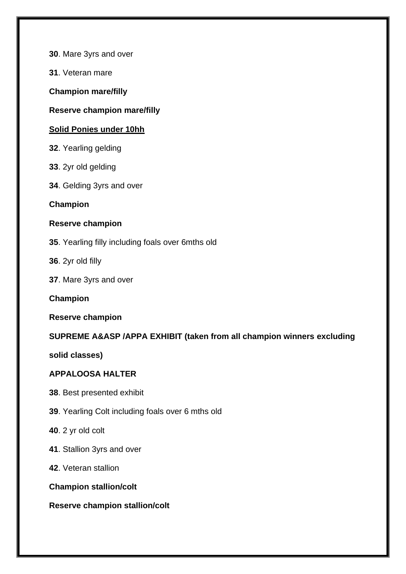**30**. Mare 3yrs and over

**31**. Veteran mare

**Champion mare/filly**

## **Reserve champion mare/filly**

## **Solid Ponies under 10hh**

- **32**. Yearling gelding
- **33**. 2yr old gelding
- **34**. Gelding 3yrs and over

## **Champion**

## **Reserve champion**

- **35**. Yearling filly including foals over 6mths old
- **36**. 2yr old filly
- **37**. Mare 3yrs and over

**Champion**

#### **Reserve champion**

## **SUPREME A&ASP /APPA EXHIBIT (taken from all champion winners excluding**

**solid classes)**

#### **APPALOOSA HALTER**

- **38**. Best presented exhibit
- **39**. Yearling Colt including foals over 6 mths old
- **40**. 2 yr old colt
- **41**. Stallion 3yrs and over
- **42**. Veteran stallion

#### **Champion stallion/colt**

#### **Reserve champion stallion/colt**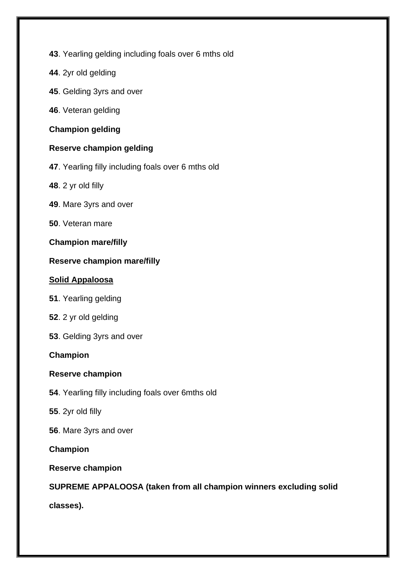- **43**. Yearling gelding including foals over 6 mths old
- **44**. 2yr old gelding
- **45**. Gelding 3yrs and over
- **46**. Veteran gelding

#### **Champion gelding**

## **Reserve champion gelding**

- **47**. Yearling filly including foals over 6 mths old
- **48**. 2 yr old filly
- **49**. Mare 3yrs and over
- **50**. Veteran mare

## **Champion mare/filly**

## **Reserve champion mare/filly**

#### **Solid Appaloosa**

- **51**. Yearling gelding
- **52**. 2 yr old gelding
- **53**. Gelding 3yrs and over

## **Champion**

#### **Reserve champion**

- **54**. Yearling filly including foals over 6mths old
- **55**. 2yr old filly
- **56**. Mare 3yrs and over

#### **Champion**

## **Reserve champion**

## **SUPREME APPALOOSA (taken from all champion winners excluding solid**

**classes).**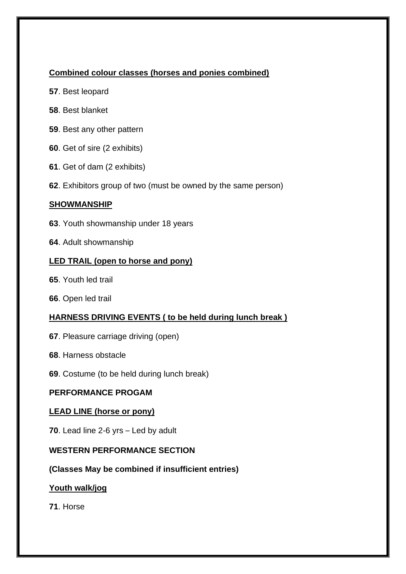## **Combined colour classes (horses and ponies combined)**

- . Best leopard
- . Best blanket
- . Best any other pattern
- . Get of sire (2 exhibits)
- . Get of dam (2 exhibits)
- . Exhibitors group of two (must be owned by the same person)

## **SHOWMANSHIP**

- . Youth showmanship under 18 years
- . Adult showmanship

## **LED TRAIL (open to horse and pony)**

- . Youth led trail
- . Open led trail

## **HARNESS DRIVING EVENTS ( to be held during lunch break )**

- . Pleasure carriage driving (open)
- . Harness obstacle
- . Costume (to be held during lunch break)

## **PERFORMANCE PROGAM**

## **LEAD LINE (horse or pony)**

. Lead line 2-6 yrs – Led by adult

## **WESTERN PERFORMANCE SECTION**

**(Classes May be combined if insufficient entries)**

## **Youth walk/jog**

. Horse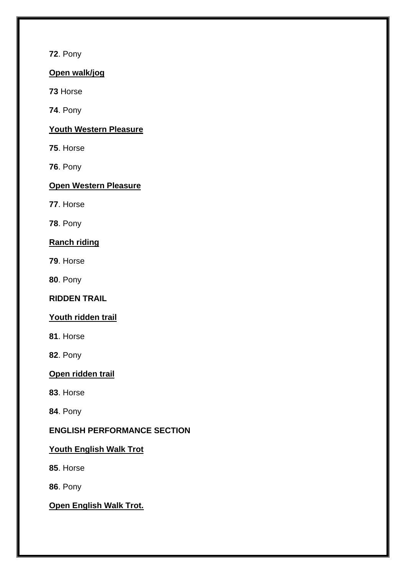**72**. Pony

## **Open walk/jog**

**73** Horse

**74**. Pony

## **Youth Western Pleasure**

**75**. Horse

**76**. Pony

## **Open Western Pleasure**

**77**. Horse

**78**. Pony

## **Ranch riding**

**79**. Horse

**80**. Pony

## **RIDDEN TRAIL**

## **Youth ridden trail**

**81**. Horse

**82**. Pony

## **Open ridden trail**

**83**. Horse

**84**. Pony

## **ENGLISH PERFORMANCE SECTION**

## **Youth English Walk Trot**

**85**. Horse

**86**. Pony

## **Open English Walk Trot.**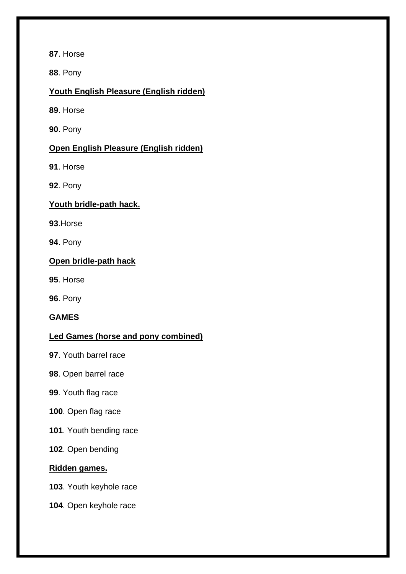. Horse

. Pony

## **Youth English Pleasure (English ridden)**

. Horse

. Pony

## **Open English Pleasure (English ridden)**

. Horse

. Pony

## **Youth bridle-path hack.**

.Horse

. Pony

## **Open bridle-path hack**

. Horse

. Pony

**GAMES**

## **Led Games (horse and pony combined)**

- . Youth barrel race
- . Open barrel race
- . Youth flag race
- . Open flag race
- . Youth bending race
- . Open bending

## **Ridden games.**

. Youth keyhole race

. Open keyhole race